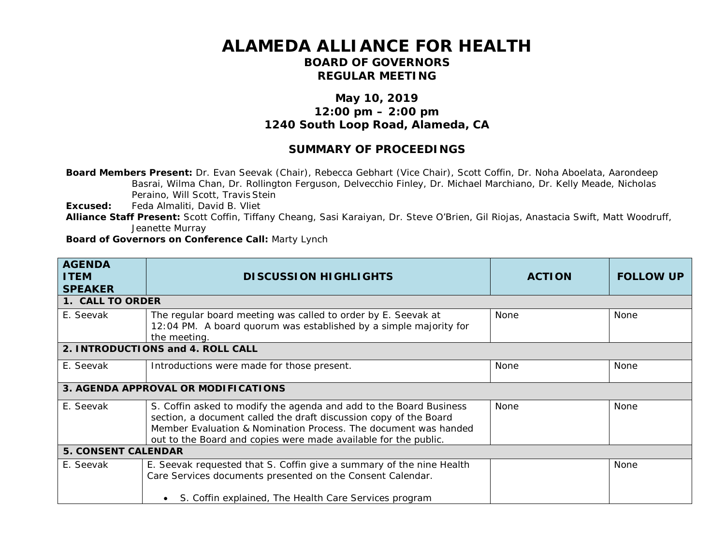## **ALAMEDA ALLIANCE FOR HEALTH**

## **BOARD OF GOVERNORS REGULAR MEETING**

## **May 10, 2019 12:00 pm – 2:00 pm 1240 South Loop Road, Alameda, CA**

## **SUMMARY OF PROCEEDINGS**

**Board Members Present:** Dr. Evan Seevak (Chair), Rebecca Gebhart (Vice Chair), Scott Coffin, Dr. Noha Aboelata, Aarondeep Basrai, Wilma Chan, Dr. Rollington Ferguson, Delvecchio Finley, Dr. Michael Marchiano, Dr. Kelly Meade, Nicholas Peraino, Will Scott, Travis Stein

**Excused:** Feda Almaliti, David B. Vliet

**Alliance Staff Present:** Scott Coffin, Tiffany Cheang, Sasi Karaiyan, Dr. Steve O'Brien, Gil Riojas, Anastacia Swift, Matt Woodruff, Jeanette Murray

**Board of Governors on Conference Call:** Marty Lynch

| <b>AGENDA</b><br><b>ITEM</b><br><b>SPEAKER</b> | <b>DISCUSSION HIGHLIGHTS</b>                                                                                                                                                                                                                                                  | <b>ACTION</b> | <b>FOLLOW UP</b> |
|------------------------------------------------|-------------------------------------------------------------------------------------------------------------------------------------------------------------------------------------------------------------------------------------------------------------------------------|---------------|------------------|
| 1. CALL TO ORDER                               |                                                                                                                                                                                                                                                                               |               |                  |
| E. Seevak                                      | The regular board meeting was called to order by E. Seevak at<br>12:04 PM. A board quorum was established by a simple majority for<br>the meeting.                                                                                                                            | None          | None             |
|                                                | 2. INTRODUCTIONS and 4. ROLL CALL                                                                                                                                                                                                                                             |               |                  |
| E. Seevak                                      | Introductions were made for those present.                                                                                                                                                                                                                                    | None          | None             |
|                                                | 3. AGENDA APPROVAL OR MODIFICATIONS                                                                                                                                                                                                                                           |               |                  |
| E. Seevak                                      | S. Coffin asked to modify the agenda and add to the Board Business<br>section, a document called the draft discussion copy of the Board<br>Member Evaluation & Nomination Process. The document was handed<br>out to the Board and copies were made available for the public. | None          | None             |
| <b>5. CONSENT CALENDAR</b>                     |                                                                                                                                                                                                                                                                               |               |                  |
| E. Seevak                                      | E. Seevak requested that S. Coffin give a summary of the nine Health<br>Care Services documents presented on the Consent Calendar.<br>S. Coffin explained, The Health Care Services program                                                                                   |               | None             |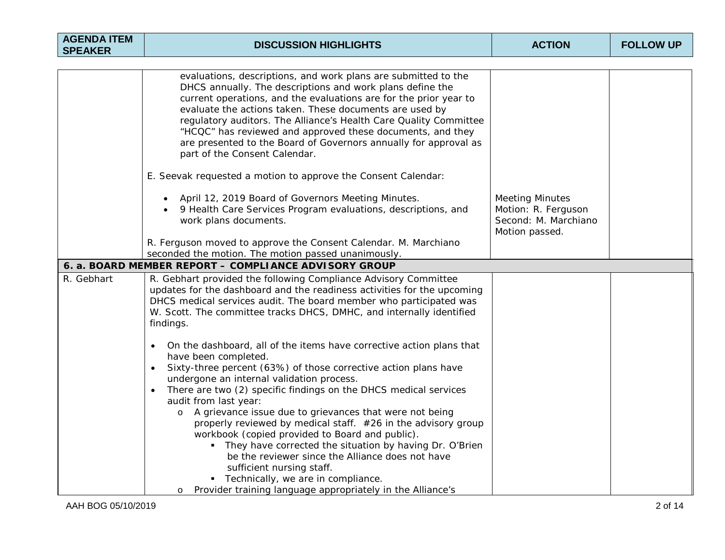| <b>AGENDA ITEM</b><br><b>SPEAKER</b> | <b>DISCUSSION HIGHLIGHTS</b>                                                                                                                                                                                                                                                                                                                                                                                                                                                                                                                                                                                                                                                                                                                                                                 | <b>ACTION</b>                                                                           | <b>FOLLOW UP</b> |
|--------------------------------------|----------------------------------------------------------------------------------------------------------------------------------------------------------------------------------------------------------------------------------------------------------------------------------------------------------------------------------------------------------------------------------------------------------------------------------------------------------------------------------------------------------------------------------------------------------------------------------------------------------------------------------------------------------------------------------------------------------------------------------------------------------------------------------------------|-----------------------------------------------------------------------------------------|------------------|
|                                      |                                                                                                                                                                                                                                                                                                                                                                                                                                                                                                                                                                                                                                                                                                                                                                                              |                                                                                         |                  |
|                                      | evaluations, descriptions, and work plans are submitted to the<br>DHCS annually. The descriptions and work plans define the<br>current operations, and the evaluations are for the prior year to<br>evaluate the actions taken. These documents are used by<br>regulatory auditors. The Alliance's Health Care Quality Committee<br>"HCQC" has reviewed and approved these documents, and they<br>are presented to the Board of Governors annually for approval as<br>part of the Consent Calendar.                                                                                                                                                                                                                                                                                          |                                                                                         |                  |
|                                      | E. Seevak requested a motion to approve the Consent Calendar:                                                                                                                                                                                                                                                                                                                                                                                                                                                                                                                                                                                                                                                                                                                                |                                                                                         |                  |
|                                      | April 12, 2019 Board of Governors Meeting Minutes.<br>9 Health Care Services Program evaluations, descriptions, and<br>work plans documents.                                                                                                                                                                                                                                                                                                                                                                                                                                                                                                                                                                                                                                                 | <b>Meeting Minutes</b><br>Motion: R. Ferguson<br>Second: M. Marchiano<br>Motion passed. |                  |
|                                      | R. Ferguson moved to approve the Consent Calendar. M. Marchiano                                                                                                                                                                                                                                                                                                                                                                                                                                                                                                                                                                                                                                                                                                                              |                                                                                         |                  |
|                                      | seconded the motion. The motion passed unanimously.                                                                                                                                                                                                                                                                                                                                                                                                                                                                                                                                                                                                                                                                                                                                          |                                                                                         |                  |
|                                      | 6. a. BOARD MEMBER REPORT - COMPLIANCE ADVISORY GROUP                                                                                                                                                                                                                                                                                                                                                                                                                                                                                                                                                                                                                                                                                                                                        |                                                                                         |                  |
| R. Gebhart                           | R. Gebhart provided the following Compliance Advisory Committee<br>updates for the dashboard and the readiness activities for the upcoming<br>DHCS medical services audit. The board member who participated was<br>W. Scott. The committee tracks DHCS, DMHC, and internally identified<br>findings.                                                                                                                                                                                                                                                                                                                                                                                                                                                                                        |                                                                                         |                  |
|                                      | On the dashboard, all of the items have corrective action plans that<br>$\bullet$<br>have been completed.<br>Sixty-three percent (63%) of those corrective action plans have<br>undergone an internal validation process.<br>There are two (2) specific findings on the DHCS medical services<br>$\bullet$<br>audit from last year:<br>A grievance issue due to grievances that were not being<br>$\circ$<br>properly reviewed by medical staff. #26 in the advisory group<br>workbook (copied provided to Board and public).<br>• They have corrected the situation by having Dr. O'Brien<br>be the reviewer since the Alliance does not have<br>sufficient nursing staff.<br>• Technically, we are in compliance.<br>Provider training language appropriately in the Alliance's<br>$\circ$ |                                                                                         |                  |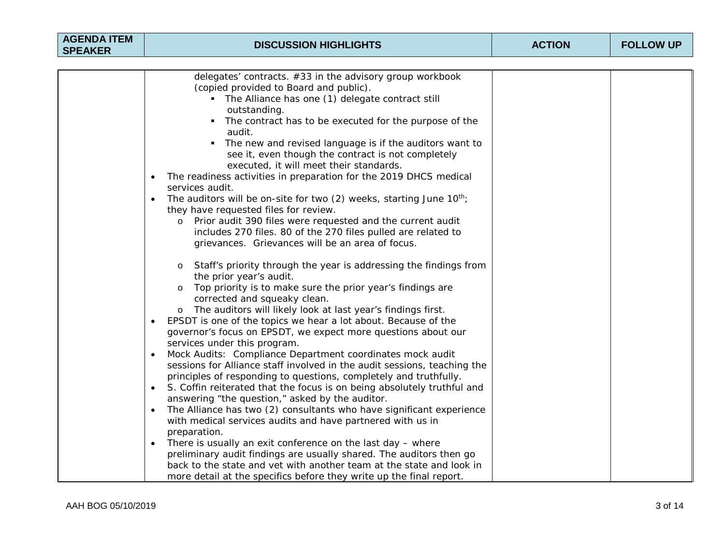| <b>AGENDA ITEM</b><br><b>SPEAKER</b> | <b>DISCUSSION HIGHLIGHTS</b>                                                                                                                                                                                                                                                                                                                                                                                                                                                                                                                                                                                                                                                                                                                                                                                                                                                                                                                                                                                                                                                                                                                                                                                                                                                                   | <b>ACTION</b> | <b>FOLLOW UP</b> |
|--------------------------------------|------------------------------------------------------------------------------------------------------------------------------------------------------------------------------------------------------------------------------------------------------------------------------------------------------------------------------------------------------------------------------------------------------------------------------------------------------------------------------------------------------------------------------------------------------------------------------------------------------------------------------------------------------------------------------------------------------------------------------------------------------------------------------------------------------------------------------------------------------------------------------------------------------------------------------------------------------------------------------------------------------------------------------------------------------------------------------------------------------------------------------------------------------------------------------------------------------------------------------------------------------------------------------------------------|---------------|------------------|
|                                      |                                                                                                                                                                                                                                                                                                                                                                                                                                                                                                                                                                                                                                                                                                                                                                                                                                                                                                                                                                                                                                                                                                                                                                                                                                                                                                |               |                  |
|                                      | delegates' contracts. #33 in the advisory group workbook<br>(copied provided to Board and public).<br>The Alliance has one (1) delegate contract still<br>outstanding.<br>The contract has to be executed for the purpose of the<br>$\blacksquare$<br>audit.<br>The new and revised language is if the auditors want to<br>٠<br>see it, even though the contract is not completely<br>executed, it will meet their standards.<br>The readiness activities in preparation for the 2019 DHCS medical<br>$\bullet$<br>services audit.<br>The auditors will be on-site for two (2) weeks, starting June 10 <sup>th</sup> ;<br>$\bullet$<br>they have requested files for review.<br>Prior audit 390 files were requested and the current audit<br>$\circ$<br>includes 270 files. 80 of the 270 files pulled are related to<br>grievances. Grievances will be an area of focus.                                                                                                                                                                                                                                                                                                                                                                                                                     |               |                  |
|                                      | Staff's priority through the year is addressing the findings from<br>$\circ$<br>the prior year's audit.<br>Top priority is to make sure the prior year's findings are<br>corrected and squeaky clean.<br>The auditors will likely look at last year's findings first.<br>$\circ$<br>EPSDT is one of the topics we hear a lot about. Because of the<br>$\bullet$<br>governor's focus on EPSDT, we expect more questions about our<br>services under this program.<br>Mock Audits: Compliance Department coordinates mock audit<br>$\bullet$<br>sessions for Alliance staff involved in the audit sessions, teaching the<br>principles of responding to questions, completely and truthfully.<br>S. Coffin reiterated that the focus is on being absolutely truthful and<br>answering "the question," asked by the auditor.<br>The Alliance has two (2) consultants who have significant experience<br>$\bullet$<br>with medical services audits and have partnered with us in<br>preparation.<br>There is usually an exit conference on the last day - where<br>$\bullet$<br>preliminary audit findings are usually shared. The auditors then go<br>back to the state and vet with another team at the state and look in<br>more detail at the specifics before they write up the final report. |               |                  |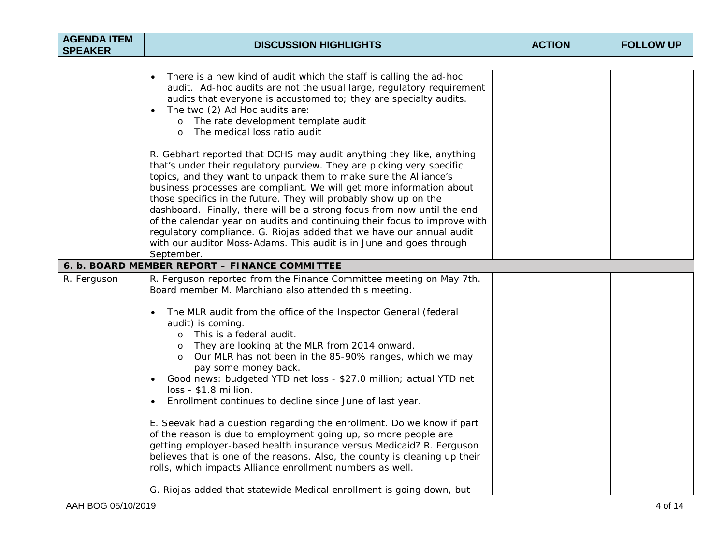| <b>AGENDA ITEM</b><br><b>SPEAKER</b> | <b>DISCUSSION HIGHLIGHTS</b>                                                                                                                                                                                                                                                                                                                                                                                                                                                                                                                                                                                                                                                                                                                                                                                                                                                                         | <b>ACTION</b> | <b>FOLLOW UP</b> |
|--------------------------------------|------------------------------------------------------------------------------------------------------------------------------------------------------------------------------------------------------------------------------------------------------------------------------------------------------------------------------------------------------------------------------------------------------------------------------------------------------------------------------------------------------------------------------------------------------------------------------------------------------------------------------------------------------------------------------------------------------------------------------------------------------------------------------------------------------------------------------------------------------------------------------------------------------|---------------|------------------|
|                                      |                                                                                                                                                                                                                                                                                                                                                                                                                                                                                                                                                                                                                                                                                                                                                                                                                                                                                                      |               |                  |
|                                      | There is a new kind of audit which the staff is calling the ad-hoc<br>audit. Ad-hoc audits are not the usual large, regulatory requirement<br>audits that everyone is accustomed to; they are specialty audits.<br>The two (2) Ad Hoc audits are:<br>$\bullet$<br>The rate development template audit<br>$\circ$<br>The medical loss ratio audit<br>$\Omega$                                                                                                                                                                                                                                                                                                                                                                                                                                                                                                                                         |               |                  |
|                                      | R. Gebhart reported that DCHS may audit anything they like, anything<br>that's under their regulatory purview. They are picking very specific<br>topics, and they want to unpack them to make sure the Alliance's<br>business processes are compliant. We will get more information about<br>those specifics in the future. They will probably show up on the<br>dashboard. Finally, there will be a strong focus from now until the end<br>of the calendar year on audits and continuing their focus to improve with<br>regulatory compliance. G. Riojas added that we have our annual audit<br>with our auditor Moss-Adams. This audit is in June and goes through<br>September.                                                                                                                                                                                                                   |               |                  |
|                                      | 6. b. BOARD MEMBER REPORT - FINANCE COMMITTEE                                                                                                                                                                                                                                                                                                                                                                                                                                                                                                                                                                                                                                                                                                                                                                                                                                                        |               |                  |
| R. Ferguson                          | R. Ferguson reported from the Finance Committee meeting on May 7th.<br>Board member M. Marchiano also attended this meeting.<br>The MLR audit from the office of the Inspector General (federal<br>$\bullet$<br>audit) is coming.<br>o This is a federal audit.<br>They are looking at the MLR from 2014 onward.<br>Our MLR has not been in the 85-90% ranges, which we may<br>$\circ$<br>pay some money back.<br>Good news: budgeted YTD net loss - \$27.0 million; actual YTD net<br>$\bullet$<br>loss - \$1.8 million.<br>Enrollment continues to decline since June of last year.<br>$\bullet$<br>E. Seevak had a question regarding the enrollment. Do we know if part<br>of the reason is due to employment going up, so more people are<br>getting employer-based health insurance versus Medicaid? R. Ferguson<br>believes that is one of the reasons. Also, the county is cleaning up their |               |                  |
|                                      | rolls, which impacts Alliance enrollment numbers as well.<br>G. Riojas added that statewide Medical enrollment is going down, but                                                                                                                                                                                                                                                                                                                                                                                                                                                                                                                                                                                                                                                                                                                                                                    |               |                  |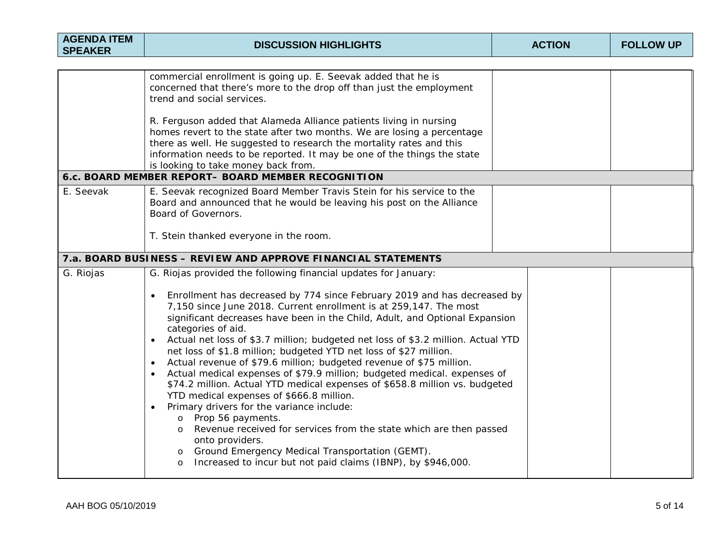| <b>AGENDA ITEM</b><br><b>SPEAKER</b> | <b>DISCUSSION HIGHLIGHTS</b>                                                                                                                                                                                                                                                                                                                                                                                                                                                                                                                                                                                                                                                                                                                                                                                                                                                                                                                                                                                                                                                                                                                            | <b>ACTION</b> | <b>FOLLOW UP</b> |
|--------------------------------------|---------------------------------------------------------------------------------------------------------------------------------------------------------------------------------------------------------------------------------------------------------------------------------------------------------------------------------------------------------------------------------------------------------------------------------------------------------------------------------------------------------------------------------------------------------------------------------------------------------------------------------------------------------------------------------------------------------------------------------------------------------------------------------------------------------------------------------------------------------------------------------------------------------------------------------------------------------------------------------------------------------------------------------------------------------------------------------------------------------------------------------------------------------|---------------|------------------|
|                                      |                                                                                                                                                                                                                                                                                                                                                                                                                                                                                                                                                                                                                                                                                                                                                                                                                                                                                                                                                                                                                                                                                                                                                         |               |                  |
|                                      | commercial enrollment is going up. E. Seevak added that he is<br>concerned that there's more to the drop off than just the employment<br>trend and social services.                                                                                                                                                                                                                                                                                                                                                                                                                                                                                                                                                                                                                                                                                                                                                                                                                                                                                                                                                                                     |               |                  |
|                                      | R. Ferguson added that Alameda Alliance patients living in nursing<br>homes revert to the state after two months. We are losing a percentage<br>there as well. He suggested to research the mortality rates and this<br>information needs to be reported. It may be one of the things the state<br>is looking to take money back from.                                                                                                                                                                                                                                                                                                                                                                                                                                                                                                                                                                                                                                                                                                                                                                                                                  |               |                  |
|                                      | 6.c. BOARD MEMBER REPORT- BOARD MEMBER RECOGNITION                                                                                                                                                                                                                                                                                                                                                                                                                                                                                                                                                                                                                                                                                                                                                                                                                                                                                                                                                                                                                                                                                                      |               |                  |
| E. Seevak                            | E. Seevak recognized Board Member Travis Stein for his service to the<br>Board and announced that he would be leaving his post on the Alliance<br>Board of Governors.                                                                                                                                                                                                                                                                                                                                                                                                                                                                                                                                                                                                                                                                                                                                                                                                                                                                                                                                                                                   |               |                  |
|                                      | T. Stein thanked everyone in the room.                                                                                                                                                                                                                                                                                                                                                                                                                                                                                                                                                                                                                                                                                                                                                                                                                                                                                                                                                                                                                                                                                                                  |               |                  |
|                                      | 7.a. BOARD BUSINESS - REVIEW AND APPROVE FINANCIAL STATEMENTS                                                                                                                                                                                                                                                                                                                                                                                                                                                                                                                                                                                                                                                                                                                                                                                                                                                                                                                                                                                                                                                                                           |               |                  |
| G. Riojas                            | G. Riojas provided the following financial updates for January:<br>Enrollment has decreased by 774 since February 2019 and has decreased by<br>$\bullet$<br>7,150 since June 2018. Current enrollment is at 259,147. The most<br>significant decreases have been in the Child, Adult, and Optional Expansion<br>categories of aid.<br>Actual net loss of \$3.7 million; budgeted net loss of \$3.2 million. Actual YTD<br>$\bullet$<br>net loss of \$1.8 million; budgeted YTD net loss of \$27 million.<br>Actual revenue of \$79.6 million; budgeted revenue of \$75 million.<br>$\bullet$<br>Actual medical expenses of \$79.9 million; budgeted medical. expenses of<br>$\bullet$<br>\$74.2 million. Actual YTD medical expenses of \$658.8 million vs. budgeted<br>YTD medical expenses of \$666.8 million.<br>Primary drivers for the variance include:<br>$\bullet$<br>Prop 56 payments.<br>$\circ$<br>Revenue received for services from the state which are then passed<br>$\circ$<br>onto providers.<br>Ground Emergency Medical Transportation (GEMT).<br>$\circ$<br>Increased to incur but not paid claims (IBNP), by \$946,000.<br>$\circ$ |               |                  |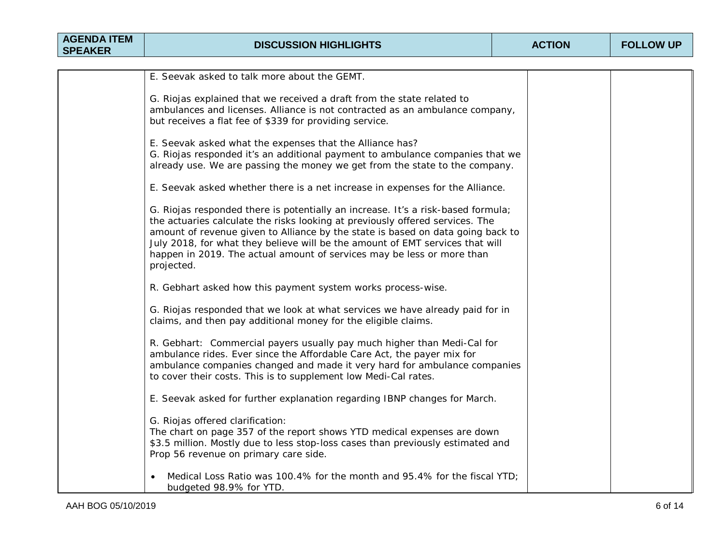| <b>AGENDA ITEM</b><br><b>SPEAKER</b> | <b>DISCUSSION HIGHLIGHTS</b>                                                                                                                                                                                                                                                                                                                                                                                                  | <b>ACTION</b> | <b>FOLLOW UP</b> |
|--------------------------------------|-------------------------------------------------------------------------------------------------------------------------------------------------------------------------------------------------------------------------------------------------------------------------------------------------------------------------------------------------------------------------------------------------------------------------------|---------------|------------------|
|                                      |                                                                                                                                                                                                                                                                                                                                                                                                                               |               |                  |
|                                      | E. Seevak asked to talk more about the GEMT.                                                                                                                                                                                                                                                                                                                                                                                  |               |                  |
|                                      | G. Riojas explained that we received a draft from the state related to<br>ambulances and licenses. Alliance is not contracted as an ambulance company,<br>but receives a flat fee of \$339 for providing service.                                                                                                                                                                                                             |               |                  |
|                                      | E. Seevak asked what the expenses that the Alliance has?<br>G. Riojas responded it's an additional payment to ambulance companies that we<br>already use. We are passing the money we get from the state to the company.                                                                                                                                                                                                      |               |                  |
|                                      | E. Seevak asked whether there is a net increase in expenses for the Alliance.                                                                                                                                                                                                                                                                                                                                                 |               |                  |
|                                      | G. Riojas responded there is potentially an increase. It's a risk-based formula;<br>the actuaries calculate the risks looking at previously offered services. The<br>amount of revenue given to Alliance by the state is based on data going back to<br>July 2018, for what they believe will be the amount of EMT services that will<br>happen in 2019. The actual amount of services may be less or more than<br>projected. |               |                  |
|                                      | R. Gebhart asked how this payment system works process-wise.                                                                                                                                                                                                                                                                                                                                                                  |               |                  |
|                                      | G. Riojas responded that we look at what services we have already paid for in<br>claims, and then pay additional money for the eligible claims.                                                                                                                                                                                                                                                                               |               |                  |
|                                      | R. Gebhart: Commercial payers usually pay much higher than Medi-Cal for<br>ambulance rides. Ever since the Affordable Care Act, the payer mix for<br>ambulance companies changed and made it very hard for ambulance companies<br>to cover their costs. This is to supplement low Medi-Cal rates.                                                                                                                             |               |                  |
|                                      | E. Seevak asked for further explanation regarding IBNP changes for March.                                                                                                                                                                                                                                                                                                                                                     |               |                  |
|                                      | G. Riojas offered clarification:<br>The chart on page 357 of the report shows YTD medical expenses are down<br>\$3.5 million. Mostly due to less stop-loss cases than previously estimated and<br>Prop 56 revenue on primary care side.                                                                                                                                                                                       |               |                  |
|                                      | Medical Loss Ratio was 100.4% for the month and 95.4% for the fiscal YTD;<br>budgeted 98.9% for YTD.                                                                                                                                                                                                                                                                                                                          |               |                  |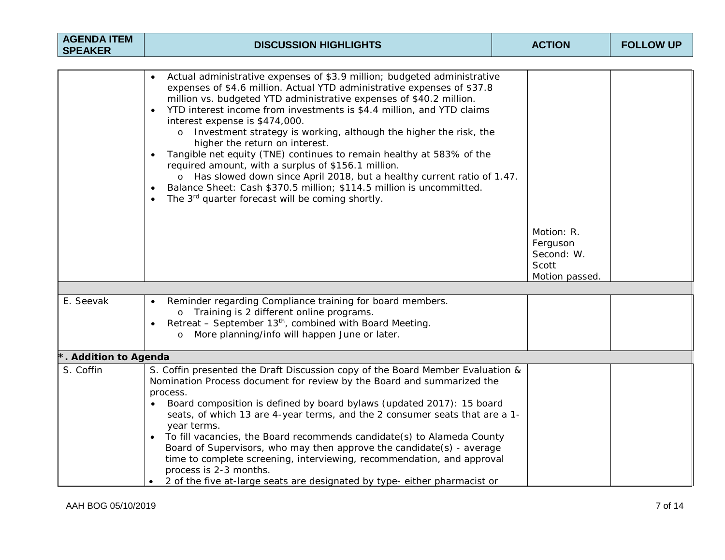| <b>AGENDA ITEM</b><br><b>SPEAKER</b> | <b>DISCUSSION HIGHLIGHTS</b>                                                                                                                                                                                                                                                                                                                                                                                                                                                                                                                                                                                                                                                                                                                                                                                                                      | <b>ACTION</b>                                                   | <b>FOLLOW UP</b> |
|--------------------------------------|---------------------------------------------------------------------------------------------------------------------------------------------------------------------------------------------------------------------------------------------------------------------------------------------------------------------------------------------------------------------------------------------------------------------------------------------------------------------------------------------------------------------------------------------------------------------------------------------------------------------------------------------------------------------------------------------------------------------------------------------------------------------------------------------------------------------------------------------------|-----------------------------------------------------------------|------------------|
|                                      |                                                                                                                                                                                                                                                                                                                                                                                                                                                                                                                                                                                                                                                                                                                                                                                                                                                   |                                                                 |                  |
|                                      | Actual administrative expenses of \$3.9 million; budgeted administrative<br>expenses of \$4.6 million. Actual YTD administrative expenses of \$37.8<br>million vs. budgeted YTD administrative expenses of \$40.2 million.<br>YTD interest income from investments is \$4.4 million, and YTD claims<br>interest expense is \$474,000.<br>Investment strategy is working, although the higher the risk, the<br>$\circ$<br>higher the return on interest.<br>Tangible net equity (TNE) continues to remain healthy at 583% of the<br>$\bullet$<br>required amount, with a surplus of \$156.1 million.<br>o Has slowed down since April 2018, but a healthy current ratio of 1.47.<br>Balance Sheet: Cash \$370.5 million; \$114.5 million is uncommitted.<br>$\bullet$<br>The 3 <sup>rd</sup> quarter forecast will be coming shortly.<br>$\bullet$ |                                                                 |                  |
|                                      |                                                                                                                                                                                                                                                                                                                                                                                                                                                                                                                                                                                                                                                                                                                                                                                                                                                   | Motion: R.<br>Ferguson<br>Second: W.<br>Scott<br>Motion passed. |                  |
|                                      |                                                                                                                                                                                                                                                                                                                                                                                                                                                                                                                                                                                                                                                                                                                                                                                                                                                   |                                                                 |                  |
| E. Seevak                            | Reminder regarding Compliance training for board members.<br>$\bullet$<br>o Training is 2 different online programs.<br>Retreat - September 13 <sup>th</sup> , combined with Board Meeting.<br>$\bullet$<br>o More planning/info will happen June or later.                                                                                                                                                                                                                                                                                                                                                                                                                                                                                                                                                                                       |                                                                 |                  |
| . Addition to Agenda                 |                                                                                                                                                                                                                                                                                                                                                                                                                                                                                                                                                                                                                                                                                                                                                                                                                                                   |                                                                 |                  |
| S. Coffin                            | S. Coffin presented the Draft Discussion copy of the Board Member Evaluation &<br>Nomination Process document for review by the Board and summarized the<br>process.<br>Board composition is defined by board bylaws (updated 2017): 15 board<br>$\bullet$<br>seats, of which 13 are 4-year terms, and the 2 consumer seats that are a 1-<br>year terms.<br>To fill vacancies, the Board recommends candidate(s) to Alameda County<br>$\bullet$<br>Board of Supervisors, who may then approve the candidate(s) - average<br>time to complete screening, interviewing, recommendation, and approval<br>process is 2-3 months.<br>2 of the five at-large seats are designated by type- either pharmacist or                                                                                                                                         |                                                                 |                  |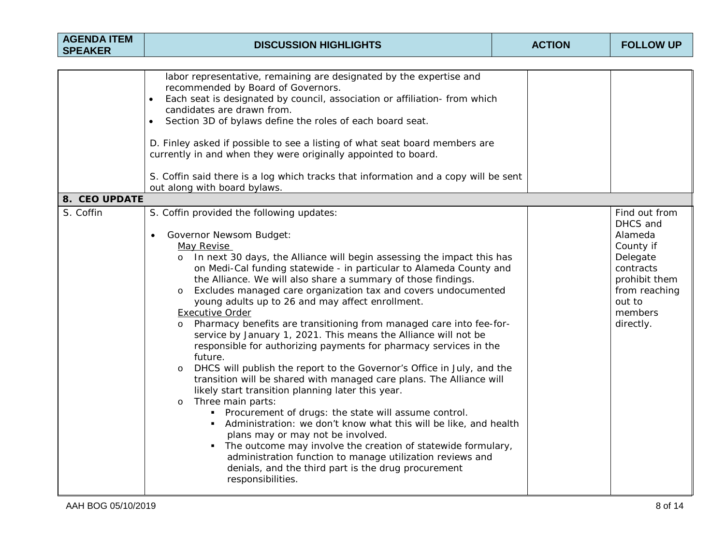| <b>AGENDA ITEM</b><br><b>SPEAKER</b> | <b>DISCUSSION HIGHLIGHTS</b>                                                                                                                                                                                                                                                                                                                                                                                                                                                                                                                                                                                                                                                                                                                                                                                                                                                                                                                                                                                                                                                                                                                                                                                                                                                                                                                    | <b>ACTION</b> | <b>FOLLOW UP</b>                                                                                                                               |
|--------------------------------------|-------------------------------------------------------------------------------------------------------------------------------------------------------------------------------------------------------------------------------------------------------------------------------------------------------------------------------------------------------------------------------------------------------------------------------------------------------------------------------------------------------------------------------------------------------------------------------------------------------------------------------------------------------------------------------------------------------------------------------------------------------------------------------------------------------------------------------------------------------------------------------------------------------------------------------------------------------------------------------------------------------------------------------------------------------------------------------------------------------------------------------------------------------------------------------------------------------------------------------------------------------------------------------------------------------------------------------------------------|---------------|------------------------------------------------------------------------------------------------------------------------------------------------|
|                                      |                                                                                                                                                                                                                                                                                                                                                                                                                                                                                                                                                                                                                                                                                                                                                                                                                                                                                                                                                                                                                                                                                                                                                                                                                                                                                                                                                 |               |                                                                                                                                                |
|                                      | labor representative, remaining are designated by the expertise and<br>recommended by Board of Governors.<br>Each seat is designated by council, association or affiliation- from which<br>candidates are drawn from.<br>Section 3D of bylaws define the roles of each board seat.<br>$\bullet$<br>D. Finley asked if possible to see a listing of what seat board members are<br>currently in and when they were originally appointed to board.<br>S. Coffin said there is a log which tracks that information and a copy will be sent<br>out along with board bylaws.                                                                                                                                                                                                                                                                                                                                                                                                                                                                                                                                                                                                                                                                                                                                                                         |               |                                                                                                                                                |
| 8. CEO UPDATE                        |                                                                                                                                                                                                                                                                                                                                                                                                                                                                                                                                                                                                                                                                                                                                                                                                                                                                                                                                                                                                                                                                                                                                                                                                                                                                                                                                                 |               |                                                                                                                                                |
| S. Coffin                            | S. Coffin provided the following updates:<br><b>Governor Newsom Budget:</b><br>$\bullet$<br>May Revise<br>o In next 30 days, the Alliance will begin assessing the impact this has<br>on Medi-Cal funding statewide - in particular to Alameda County and<br>the Alliance. We will also share a summary of those findings.<br>Excludes managed care organization tax and covers undocumented<br>young adults up to 26 and may affect enrollment.<br><b>Executive Order</b><br>Pharmacy benefits are transitioning from managed care into fee-for-<br>$\circ$<br>service by January 1, 2021. This means the Alliance will not be<br>responsible for authorizing payments for pharmacy services in the<br>future.<br>DHCS will publish the report to the Governor's Office in July, and the<br>$\circ$<br>transition will be shared with managed care plans. The Alliance will<br>likely start transition planning later this year.<br>Three main parts:<br>$\circ$<br>• Procurement of drugs: the state will assume control.<br>• Administration: we don't know what this will be like, and health<br>plans may or may not be involved.<br>The outcome may involve the creation of statewide formulary,<br>administration function to manage utilization reviews and<br>denials, and the third part is the drug procurement<br>responsibilities. |               | Find out from<br>DHCS and<br>Alameda<br>County if<br>Delegate<br>contracts<br>prohibit them<br>from reaching<br>out to<br>members<br>directly. |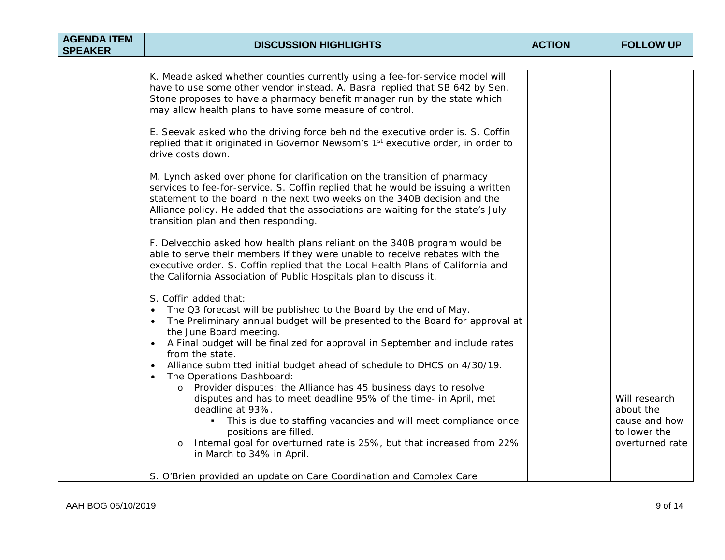| <b>AGENDA ITEM</b><br><b>SPEAKER</b> | <b>DISCUSSION HIGHLIGHTS</b>                                                                                                                                                                                                                                                                                                                                                                                                                                                                                                                                    | <b>ACTION</b> | <b>FOLLOW UP</b>                                                               |
|--------------------------------------|-----------------------------------------------------------------------------------------------------------------------------------------------------------------------------------------------------------------------------------------------------------------------------------------------------------------------------------------------------------------------------------------------------------------------------------------------------------------------------------------------------------------------------------------------------------------|---------------|--------------------------------------------------------------------------------|
|                                      |                                                                                                                                                                                                                                                                                                                                                                                                                                                                                                                                                                 |               |                                                                                |
|                                      | K. Meade asked whether counties currently using a fee-for-service model will<br>have to use some other vendor instead. A. Basrai replied that SB 642 by Sen.<br>Stone proposes to have a pharmacy benefit manager run by the state which<br>may allow health plans to have some measure of control.                                                                                                                                                                                                                                                             |               |                                                                                |
|                                      | E. Seevak asked who the driving force behind the executive order is. S. Coffin<br>replied that it originated in Governor Newsom's 1 <sup>st</sup> executive order, in order to<br>drive costs down.                                                                                                                                                                                                                                                                                                                                                             |               |                                                                                |
|                                      | M. Lynch asked over phone for clarification on the transition of pharmacy<br>services to fee-for-service. S. Coffin replied that he would be issuing a written<br>statement to the board in the next two weeks on the 340B decision and the<br>Alliance policy. He added that the associations are waiting for the state's July<br>transition plan and then responding.                                                                                                                                                                                         |               |                                                                                |
|                                      | F. Delvecchio asked how health plans reliant on the 340B program would be<br>able to serve their members if they were unable to receive rebates with the<br>executive order. S. Coffin replied that the Local Health Plans of California and<br>the California Association of Public Hospitals plan to discuss it.                                                                                                                                                                                                                                              |               |                                                                                |
|                                      | S. Coffin added that:<br>The Q3 forecast will be published to the Board by the end of May.<br>$\bullet$<br>The Preliminary annual budget will be presented to the Board for approval at<br>$\bullet$<br>the June Board meeting.<br>A Final budget will be finalized for approval in September and include rates<br>$\bullet$<br>from the state.<br>Alliance submitted initial budget ahead of schedule to DHCS on 4/30/19.<br>$\bullet$<br>The Operations Dashboard:<br>$\bullet$<br>Provider disputes: the Alliance has 45 business days to resolve<br>$\circ$ |               |                                                                                |
|                                      | disputes and has to meet deadline 95% of the time- in April, met<br>deadline at 93%.<br>This is due to staffing vacancies and will meet compliance once<br>positions are filled.<br>o Internal goal for overturned rate is 25%, but that increased from 22%<br>in March to 34% in April.                                                                                                                                                                                                                                                                        |               | Will research<br>about the<br>cause and how<br>to lower the<br>overturned rate |
|                                      | S. O'Brien provided an update on Care Coordination and Complex Care                                                                                                                                                                                                                                                                                                                                                                                                                                                                                             |               |                                                                                |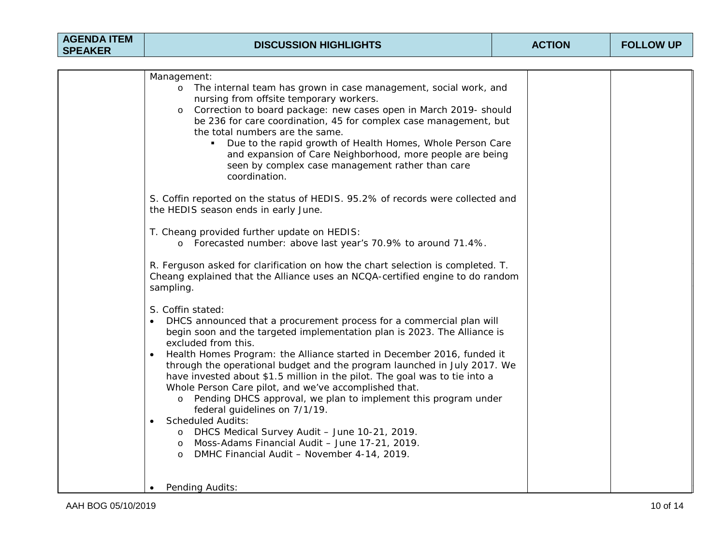| <b>AGENDA ITEM</b><br><b>SPEAKER</b> | <b>DISCUSSION HIGHLIGHTS</b>                                                                                                                                                                                                                                                                                                                                                                                                                                                                                                                                                                                                                                                                                                                                                                                                                                                                                                                                         | <b>ACTION</b> | <b>FOLLOW UP</b> |
|--------------------------------------|----------------------------------------------------------------------------------------------------------------------------------------------------------------------------------------------------------------------------------------------------------------------------------------------------------------------------------------------------------------------------------------------------------------------------------------------------------------------------------------------------------------------------------------------------------------------------------------------------------------------------------------------------------------------------------------------------------------------------------------------------------------------------------------------------------------------------------------------------------------------------------------------------------------------------------------------------------------------|---------------|------------------|
|                                      |                                                                                                                                                                                                                                                                                                                                                                                                                                                                                                                                                                                                                                                                                                                                                                                                                                                                                                                                                                      |               |                  |
|                                      | Management:<br>o The internal team has grown in case management, social work, and<br>nursing from offsite temporary workers.<br>Correction to board package: new cases open in March 2019- should<br>$\circ$<br>be 236 for care coordination, 45 for complex case management, but<br>the total numbers are the same.<br>Due to the rapid growth of Health Homes, Whole Person Care<br>and expansion of Care Neighborhood, more people are being<br>seen by complex case management rather than care<br>coordination.<br>S. Coffin reported on the status of HEDIS. 95.2% of records were collected and<br>the HEDIS season ends in early June.<br>T. Cheang provided further update on HEDIS:<br>o Forecasted number: above last year's 70.9% to around 71.4%.<br>R. Ferguson asked for clarification on how the chart selection is completed. T.<br>Cheang explained that the Alliance uses an NCQA-certified engine to do random<br>sampling.<br>S. Coffin stated: |               |                  |
|                                      | DHCS announced that a procurement process for a commercial plan will<br>begin soon and the targeted implementation plan is 2023. The Alliance is<br>excluded from this.<br>Health Homes Program: the Alliance started in December 2016, funded it<br>through the operational budget and the program launched in July 2017. We<br>have invested about \$1.5 million in the pilot. The goal was to tie into a<br>Whole Person Care pilot, and we've accomplished that.<br>o Pending DHCS approval, we plan to implement this program under<br>federal guidelines on 7/1/19.<br><b>Scheduled Audits:</b><br>o DHCS Medical Survey Audit - June 10-21, 2019.<br>Moss-Adams Financial Audit - June 17-21, 2019.<br>$\circ$<br>DMHC Financial Audit - November 4-14, 2019.<br>$\circ$<br><b>Pending Audits:</b>                                                                                                                                                            |               |                  |

 $\mathbf{I}$ 

 $\mathsf{I}$ 

 $\mathsf{I}$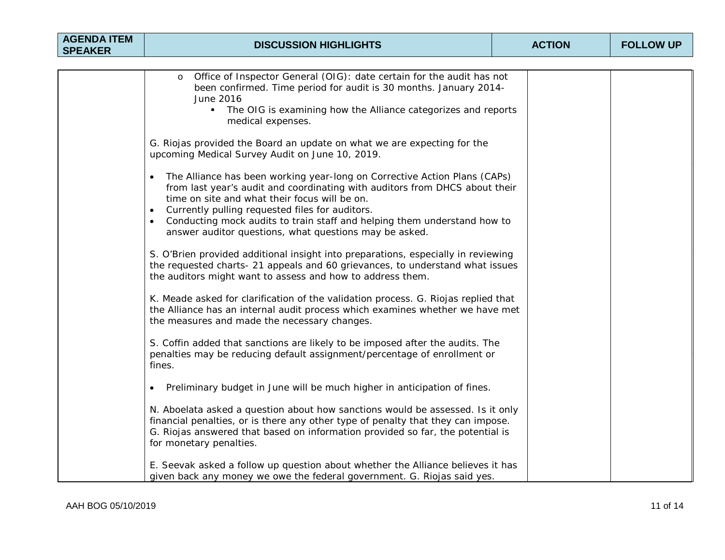| <b>AGENDA ITEM</b><br><b>SPEAKER</b> | <b>DISCUSSION HIGHLIGHTS</b>                                                                                                                                                                                                                                                                                                                                                                                                 | <b>ACTION</b> | <b>FOLLOW UP</b> |
|--------------------------------------|------------------------------------------------------------------------------------------------------------------------------------------------------------------------------------------------------------------------------------------------------------------------------------------------------------------------------------------------------------------------------------------------------------------------------|---------------|------------------|
|                                      |                                                                                                                                                                                                                                                                                                                                                                                                                              |               |                  |
|                                      | Office of Inspector General (OIG): date certain for the audit has not<br>$\circ$<br>been confirmed. Time period for audit is 30 months. January 2014-<br>June 2016<br>The OIG is examining how the Alliance categorizes and reports<br>$\blacksquare$<br>medical expenses.                                                                                                                                                   |               |                  |
|                                      | G. Riojas provided the Board an update on what we are expecting for the<br>upcoming Medical Survey Audit on June 10, 2019.                                                                                                                                                                                                                                                                                                   |               |                  |
|                                      | The Alliance has been working year-long on Corrective Action Plans (CAPs)<br>$\bullet$<br>from last year's audit and coordinating with auditors from DHCS about their<br>time on site and what their focus will be on.<br>Currently pulling requested files for auditors.<br>$\bullet$<br>Conducting mock audits to train staff and helping them understand how to<br>answer auditor questions, what questions may be asked. |               |                  |
|                                      | S. O'Brien provided additional insight into preparations, especially in reviewing<br>the requested charts- 21 appeals and 60 grievances, to understand what issues<br>the auditors might want to assess and how to address them.                                                                                                                                                                                             |               |                  |
|                                      | K. Meade asked for clarification of the validation process. G. Riojas replied that<br>the Alliance has an internal audit process which examines whether we have met<br>the measures and made the necessary changes.                                                                                                                                                                                                          |               |                  |
|                                      | S. Coffin added that sanctions are likely to be imposed after the audits. The<br>penalties may be reducing default assignment/percentage of enrollment or<br>fines.                                                                                                                                                                                                                                                          |               |                  |
|                                      | Preliminary budget in June will be much higher in anticipation of fines.<br>$\bullet$                                                                                                                                                                                                                                                                                                                                        |               |                  |
|                                      | N. Aboelata asked a question about how sanctions would be assessed. Is it only<br>financial penalties, or is there any other type of penalty that they can impose.<br>G. Riojas answered that based on information provided so far, the potential is<br>for monetary penalties.                                                                                                                                              |               |                  |
|                                      | E. Seevak asked a follow up question about whether the Alliance believes it has<br>given back any money we owe the federal government. G. Riojas said yes.                                                                                                                                                                                                                                                                   |               |                  |

 $\mathsf{I}$ 

 $\mathbf{I}$ 

 $\mathsf{I}$ 

 $\mathsf{I}$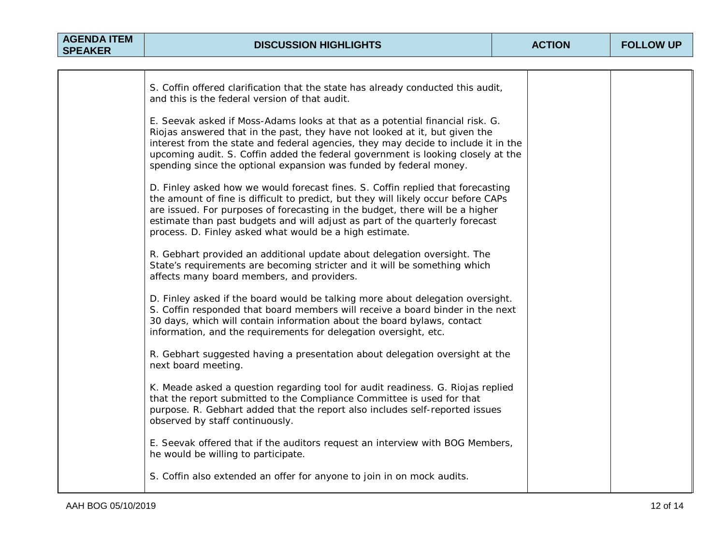| S. Coffin offered clarification that the state has already conducted this audit,<br>and this is the federal version of that audit.                                                                                                                                                                                                                                                                           |  |
|--------------------------------------------------------------------------------------------------------------------------------------------------------------------------------------------------------------------------------------------------------------------------------------------------------------------------------------------------------------------------------------------------------------|--|
| E. Seevak asked if Moss-Adams looks at that as a potential financial risk. G.<br>Riojas answered that in the past, they have not looked at it, but given the<br>interest from the state and federal agencies, they may decide to include it in the<br>upcoming audit. S. Coffin added the federal government is looking closely at the<br>spending since the optional expansion was funded by federal money. |  |
| D. Finley asked how we would forecast fines. S. Coffin replied that forecasting<br>the amount of fine is difficult to predict, but they will likely occur before CAPs<br>are issued. For purposes of forecasting in the budget, there will be a higher<br>estimate than past budgets and will adjust as part of the quarterly forecast<br>process. D. Finley asked what would be a high estimate.            |  |
| R. Gebhart provided an additional update about delegation oversight. The<br>State's requirements are becoming stricter and it will be something which<br>affects many board members, and providers.                                                                                                                                                                                                          |  |
| D. Finley asked if the board would be talking more about delegation oversight.<br>S. Coffin responded that board members will receive a board binder in the next<br>30 days, which will contain information about the board bylaws, contact<br>information, and the requirements for delegation oversight, etc.                                                                                              |  |
| R. Gebhart suggested having a presentation about delegation oversight at the<br>next board meeting.                                                                                                                                                                                                                                                                                                          |  |
| K. Meade asked a question regarding tool for audit readiness. G. Riojas replied<br>that the report submitted to the Compliance Committee is used for that<br>purpose. R. Gebhart added that the report also includes self-reported issues<br>observed by staff continuously.                                                                                                                                 |  |
| E. Seevak offered that if the auditors request an interview with BOG Members,<br>he would be willing to participate.                                                                                                                                                                                                                                                                                         |  |
| S. Coffin also extended an offer for anyone to join in on mock audits.                                                                                                                                                                                                                                                                                                                                       |  |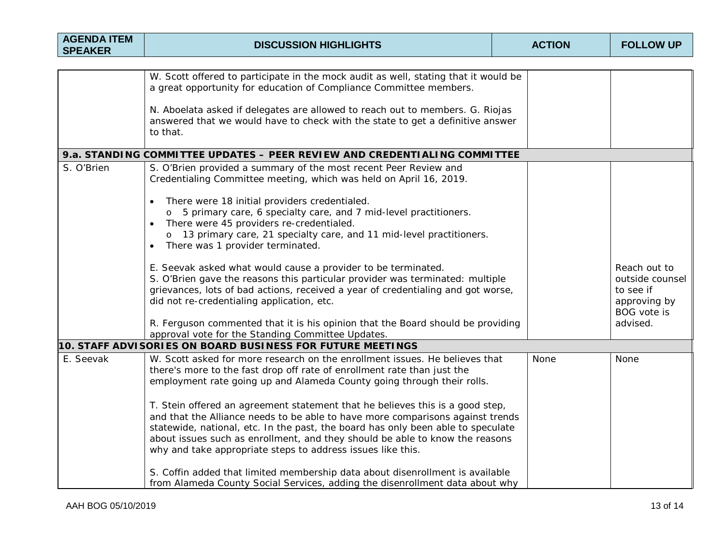| <b>AGENDA ITEM</b><br><b>SPEAKER</b>                                      | <b>DISCUSSION HIGHLIGHTS</b>                                                                                                                                                                                                                                                                                                                                                                       | <b>ACTION</b> | <b>FOLLOW UP</b>                                                                               |  |  |  |
|---------------------------------------------------------------------------|----------------------------------------------------------------------------------------------------------------------------------------------------------------------------------------------------------------------------------------------------------------------------------------------------------------------------------------------------------------------------------------------------|---------------|------------------------------------------------------------------------------------------------|--|--|--|
|                                                                           |                                                                                                                                                                                                                                                                                                                                                                                                    |               |                                                                                                |  |  |  |
|                                                                           | W. Scott offered to participate in the mock audit as well, stating that it would be<br>a great opportunity for education of Compliance Committee members.<br>N. Aboelata asked if delegates are allowed to reach out to members. G. Riojas                                                                                                                                                         |               |                                                                                                |  |  |  |
|                                                                           | answered that we would have to check with the state to get a definitive answer<br>to that.                                                                                                                                                                                                                                                                                                         |               |                                                                                                |  |  |  |
| 9.a. STANDING COMMITTEE UPDATES - PEER REVIEW AND CREDENTIALING COMMITTEE |                                                                                                                                                                                                                                                                                                                                                                                                    |               |                                                                                                |  |  |  |
| S. O'Brien                                                                | S. O'Brien provided a summary of the most recent Peer Review and<br>Credentialing Committee meeting, which was held on April 16, 2019.                                                                                                                                                                                                                                                             |               |                                                                                                |  |  |  |
|                                                                           | There were 18 initial providers credentialed.<br>$\bullet$<br>5 primary care, 6 specialty care, and 7 mid-level practitioners.<br>There were 45 providers re-credentialed.<br>$\bullet$<br>o 13 primary care, 21 specialty care, and 11 mid-level practitioners.<br>There was 1 provider terminated.<br>$\bullet$                                                                                  |               |                                                                                                |  |  |  |
|                                                                           | E. Seevak asked what would cause a provider to be terminated.<br>S. O'Brien gave the reasons this particular provider was terminated: multiple<br>grievances, lots of bad actions, received a year of credentialing and got worse,<br>did not re-credentialing application, etc.<br>R. Ferguson commented that it is his opinion that the Board should be providing                                |               | Reach out to<br>outside counsel<br>to see if<br>approving by<br><b>BOG</b> vote is<br>advised. |  |  |  |
|                                                                           | approval vote for the Standing Committee Updates.                                                                                                                                                                                                                                                                                                                                                  |               |                                                                                                |  |  |  |
| 10. STAFF ADVISORIES ON BOARD BUSINESS FOR FUTURE MEETINGS                |                                                                                                                                                                                                                                                                                                                                                                                                    |               |                                                                                                |  |  |  |
| E. Seevak                                                                 | W. Scott asked for more research on the enrollment issues. He believes that<br>there's more to the fast drop off rate of enrollment rate than just the<br>employment rate going up and Alameda County going through their rolls.                                                                                                                                                                   | None          | <b>None</b>                                                                                    |  |  |  |
|                                                                           | T. Stein offered an agreement statement that he believes this is a good step,<br>and that the Alliance needs to be able to have more comparisons against trends<br>statewide, national, etc. In the past, the board has only been able to speculate<br>about issues such as enrollment, and they should be able to know the reasons<br>why and take appropriate steps to address issues like this. |               |                                                                                                |  |  |  |
|                                                                           | S. Coffin added that limited membership data about disenrollment is available<br>from Alameda County Social Services, adding the disenrollment data about why                                                                                                                                                                                                                                      |               |                                                                                                |  |  |  |